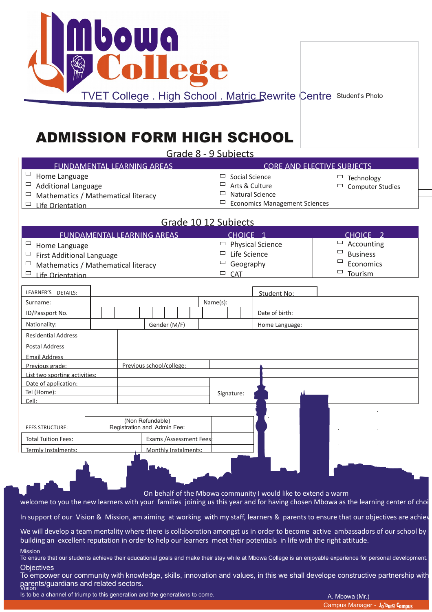

# ADMISSION FORM HIGH SCHOOL

Grade 8 - 9 Subjects

| FUNDAMENTAL LEARNING AREAS                 | CORE AND FLECTIVE SUBJECTS           |                         |  |  |  |  |
|--------------------------------------------|--------------------------------------|-------------------------|--|--|--|--|
| $\Box$ Home Language                       | $\Box$ Social Science                | Technology              |  |  |  |  |
| $\Box$ Additional Language                 | $\Box$ Arts & Culture                | <b>Computer Studies</b> |  |  |  |  |
| $\Box$ Mathematics / Mathematical literacy | Natural Science                      |                         |  |  |  |  |
| Life Orientation                           | $\Box$ Economics Management Sciences |                         |  |  |  |  |

#### Grade 10 12 Subjects

| FUNDAMENTAL LEARNING AREAS                    | CHOICE 1                          | <b>CHOICE</b>   |
|-----------------------------------------------|-----------------------------------|-----------------|
| Home Language                                 | <b>Physical Science</b><br>$\Box$ | Accounting      |
| <b>First Additional Language</b>              | Life Science                      | <b>Business</b> |
| $\Box$<br>Mathematics / Mathematical literacy | Geography                         | Economics       |
| Life Orientation                              | <b>CAT</b>                        | Tourism         |
|                                               |                                   |                 |

| LEARNER'S<br><b>DETAILS:</b>  |  |                          |  |              |  |            | Student No:              |
|-------------------------------|--|--------------------------|--|--------------|--|------------|--------------------------|
| Surname:                      |  |                          |  |              |  | Name(s):   |                          |
| ID/Passport No.               |  |                          |  |              |  |            | Date of birth:           |
| Nationality:                  |  |                          |  | Gender (M/F) |  |            | Home Language:           |
| <b>Residential Address</b>    |  |                          |  |              |  |            |                          |
| <b>Postal Address</b>         |  |                          |  |              |  |            |                          |
| <b>Email Address</b>          |  |                          |  |              |  |            |                          |
| Previous grade:               |  | Previous school/college: |  |              |  |            |                          |
| List two sporting activities: |  |                          |  |              |  |            |                          |
| Date of application:          |  |                          |  |              |  |            |                          |
| Tel (Home):                   |  |                          |  |              |  | Signature: |                          |
| Cell:                         |  |                          |  |              |  |            |                          |
|                               |  |                          |  |              |  |            | <b>Contract Contract</b> |

| <b>FEES STRUCTURE:</b>     | (Non Refundable)<br>Registration and Admin Fee: |  |
|----------------------------|-------------------------------------------------|--|
| <b>Total Tuition Fees:</b> | Exams /Assessment Fees!                         |  |
| l Termly Instalments:      | Monthly Instalments:                            |  |
|                            |                                                 |  |

On behalf of the Mbowa community I would like to extend a warm

welcome to you the new learners with your families joining us this year and for having chosen Mbowa as the learning center of choi

In support of our Vision & Mission, am aiming at working with my staff, learners & parents to ensure that our objectives are achievable

We will develop a team mentality where there is collaboration amongst us in order to become active ambassadors of our school by building an excellent reputation in order to help our learners meet their potentials in life with the right attitude.

Mission To ensure that our students achieve their educational goals and make their stay while at Mbowa College is an enjoyable experience for personal development. **Objectives** 

parents/guardians and related sectors.<br>Vision To empower our community with knowledge, skills, innovation and values, in this we shall develope constructive partnership with

Is to be a channel of triump to this generation and the generations to come.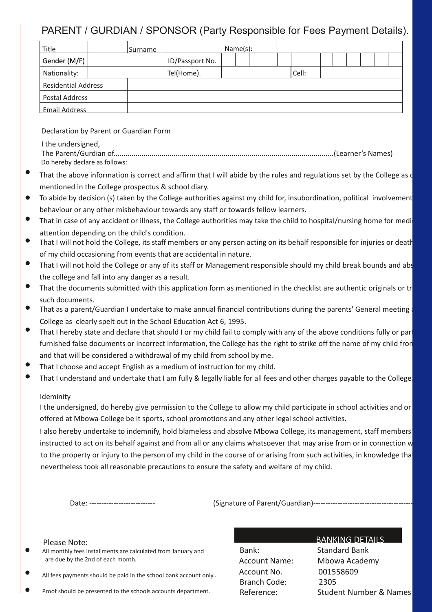## PARENT / GURDIAN / SPONSOR (Party Responsible for Fees Payment Details).

| Title                      |  | Surname |                 | Name(s): |  |       |  |  |  |  |
|----------------------------|--|---------|-----------------|----------|--|-------|--|--|--|--|
| Gender (M/F)               |  |         | ID/Passport No. |          |  |       |  |  |  |  |
| Nationality:               |  |         | Tel(Home).      |          |  | Cell: |  |  |  |  |
| <b>Residential Address</b> |  |         |                 |          |  |       |  |  |  |  |
| Postal Address             |  |         |                 |          |  |       |  |  |  |  |
| <b>Email Address</b>       |  |         |                 |          |  |       |  |  |  |  |

Declaration by Parent or Guardian Form

I the undersigned, The Parent/Gurdian of..............................................................................................................(Learner's Names) Do hereby declare as follows:

- $\bullet$ That the above information is correct and affirm that I will abide by the rules and regulations set by the College as d mentioned in the College prospectus & school diary.
- To abide by decision (s) taken by the College authorities against my child for, insubordination, political involvement behaviour or any other misbehaviour towards any staff or towards fellow learners.
- That in case of any accident or illness, the College authorities may take the child to hospital/nursing home for mediattention depending on the child's condition.
- That I will not hold the College, its staff members or any person acting on its behalf responsible for injuries or death of my child occasioning from events that are accidental in nature.
- That I will not hold the College or any of its staff or Management responsible should my child break bounds and abs the college and fall into any danger as a result.
- $\bullet$ That the documents submitted with this application form as mentioned in the checklist are authentic originals or tr such documents.
- $\bullet$ That as a parent/Guardian I undertake to make annual financial contributions during the parents' General meeting at the College as clearly spelt out in the School Education Act 6, 1995.
- $\bullet$ That I hereby state and declare that should I or my child fail to comply with any of the above conditions fully or partial furnished false documents or incorrect information, the College has the right to strike off the name of my child from and that will be considered a withdrawal of my child from school by me.
- $\bullet$ That I choose and accept English as a medium of instruction for my child.
- $\bullet$ That I understand and undertake that I am fully & legally liable for all fees and other charges payable to the College.

#### Ideminity

I the undersigned, do hereby give permission to the College to allow my child participate in school activities and or offered at Mbowa College be it sports, school promotions and any other legal school activities.

I also hereby undertake to indemnify, hold blameless and absolve Mbowa College, its management, staff members instructed to act on its behalf against and from all or any claims whatsoever that may arise from or in connection w to the property or injury to the person of my child in the course of or arising from such activities, in knowledge that nevertheless took all reasonable precautions to ensure the safety and welfare of my child.

Date: --------------------------- (Signature of Parent/Guardian)-------------------------------------------------------

#### Please Note:

 $\bullet$ All monthly fees installments are calculated from January and are due by the 2nd of each month.

All fees payments should be paid in the school bank account only..

Proof should be presented to the schools accounts department. 
Reference: Student Number & Names

Bank: Standard Bank Account No. 001558609 Branch Code: 2305

### BANKING DETAILS

Account Name: Mbowa Academy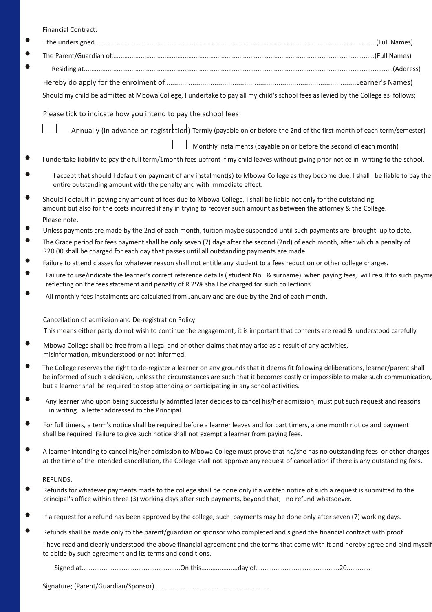|              | <b>Financial Contract:</b>                                                                                                                                                                                                                  |
|--------------|---------------------------------------------------------------------------------------------------------------------------------------------------------------------------------------------------------------------------------------------|
|              |                                                                                                                                                                                                                                             |
|              |                                                                                                                                                                                                                                             |
|              |                                                                                                                                                                                                                                             |
|              |                                                                                                                                                                                                                                             |
|              | Should my child be admitted at Mbowa College, I undertake to pay all my child's school fees as levied by the College as follows;                                                                                                            |
|              | Please tick to indicate how you intend to pay the school fees                                                                                                                                                                               |
|              | Annually (in advance on registration) Termly (payable on or before the 2nd of the first month of each term/semester)                                                                                                                        |
|              | Monthly instalments (payable on or before the second of each month)                                                                                                                                                                         |
|              | I undertake liability to pay the full term/1month fees upfront if my child leaves without giving prior notice in writing to the school.                                                                                                     |
|              | I accept that should I default on payment of any instalment(s) to Mbowa College as they become due, I shall be liable to pay the<br>entire outstanding amount with the penalty and with immediate effect.                                   |
|              | Should I default in paying any amount of fees due to Mbowa College, I shall be liable not only for the outstanding<br>amount but also for the costs incurred if any in trying to recover such amount as between the attorney & the College. |
| Please note. |                                                                                                                                                                                                                                             |
|              | Unless payments are made by the 2nd of each month, tuition maybe suspended until such payments are brought up to date.                                                                                                                      |
|              | The Grace period for fees payment shall be only seven (7) days after the second (2nd) of each month, after which a penalty of<br>R20.00 shall be charged for each day that passes until all outstanding payments are made.                  |
|              | Failure to attend classes for whatever reason shall not entitle any student to a fees reduction or other college charges.                                                                                                                   |
|              |                                                                                                                                                                                                                                             |

- Failure to use/indicate the learner's correct reference details (student No. & surname) when paying fees, will result to such payme reflecting on the fees statement and penalty of R 25% shall be charged for such collections.
- $\bullet$ All monthly fees instalments are calculated from January and are due by the 2nd of each month.

Cancellation of admission and De-registration Policy

This means either party do not wish to continue the engagement; it is important that contents are read & understood carefully.

- $\bullet$ Mbowa College shall be free from all legal and or other claims that may arise as a result of any activities, misinformation, misunderstood or not informed.
- $\bullet$ The College reserves the right to de-register a learner on any grounds that it deems fit following deliberations, learner/parent shall be informed of such a decision, unless the circumstances are such that it becomes costly or impossible to make such communication, but a learner shall be required to stop attending or participating in any school activities.
- $\bullet$  Any learner who upon being successfully admitted later decides to cancel his/her admission, must put such request and reasons in writing a letter addressed to the Principal.
- $\bullet$ For full timers, a term's notice shall be required before a learner leaves and for part timers, a one month notice and payment shall be required. Failure to give such notice shall not exempt a learner from paying fees.
- $\bullet$ A learner intending to cancel his/her admission to Mbowa College must prove that he/she has no outstanding fees or other charges as at the time of the intended cancellation, the College shall not approve any request of cancellation if there is any outstanding fees.

#### REFUNDS:

- $\bullet$ Refunds for whatever payments made to the college shall be done only if a written notice of such a request is submitted to the principal's office within three (3) working days after such payments, beyond that; no refund whatsoever.
- If a request for a refund has been approved by the college, such payments may be done only after seven (7) working days.
- $\bullet$ Refunds shall be made only to the parent/guardian or sponsor who completed and signed the financial contract with proof.

I have read and clearly understood the above financial agreement and the terms that come with it and hereby agree and bind myself to abide by such agreement and its terms and conditions.

Signed at......................................................On this....................day of..............................................20.............

Signature; (Parent/Guardian/Sponsor)...............................................................